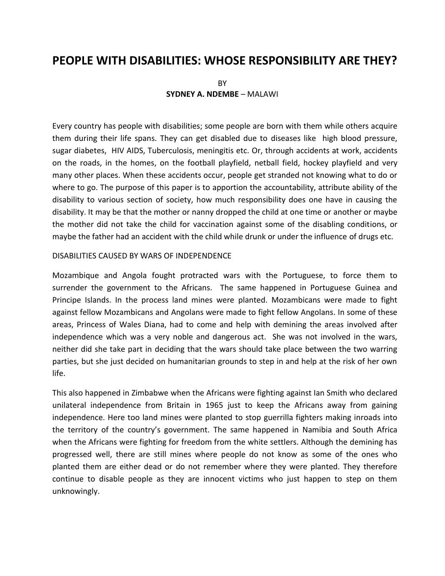# **PEOPLE WITH DISABILITIES: WHOSE RESPONSIBILITY ARE THEY?**

**BY SYDNEY A. NDEMBE** – MALAWI

Every country has people with disabilities; some people are born with them while others acquire them during their life spans. They can get disabled due to diseases like high blood pressure, sugar diabetes, HIV AIDS, Tuberculosis, meningitis etc. Or, through accidents at work, accidents on the roads, in the homes, on the football playfield, netball field, hockey playfield and very many other places. When these accidents occur, people get stranded not knowing what to do or where to go. The purpose of this paper is to apportion the accountability, attribute ability of the disability to various section of society, how much responsibility does one have in causing the disability. It may be that the mother or nanny dropped the child at one time or another or maybe the mother did not take the child for vaccination against some of the disabling conditions, or maybe the father had an accident with the child while drunk or under the influence of drugs etc.

#### DISABILITIES CAUSED BY WARS OF INDEPENDENCE

Mozambique and Angola fought protracted wars with the Portuguese, to force them to surrender the government to the Africans. The same happened in Portuguese Guinea and Principe Islands. In the process land mines were planted. Mozambicans were made to fight against fellow Mozambicans and Angolans were made to fight fellow Angolans. In some of these areas, Princess of Wales Diana, had to come and help with demining the areas involved after independence which was a very noble and dangerous act. She was not involved in the wars, neither did she take part in deciding that the wars should take place between the two warring parties, but she just decided on humanitarian grounds to step in and help at the risk of her own life.

This also happened in Zimbabwe when the Africans were fighting against Ian Smith who declared unilateral independence from Britain in 1965 just to keep the Africans away from gaining independence. Here too land mines were planted to stop guerrilla fighters making inroads into the territory of the country's government. The same happened in Namibia and South Africa when the Africans were fighting for freedom from the white settlers. Although the demining has progressed well, there are still mines where people do not know as some of the ones who planted them are either dead or do not remember where they were planted. They therefore continue to disable people as they are innocent victims who just happen to step on them unknowingly.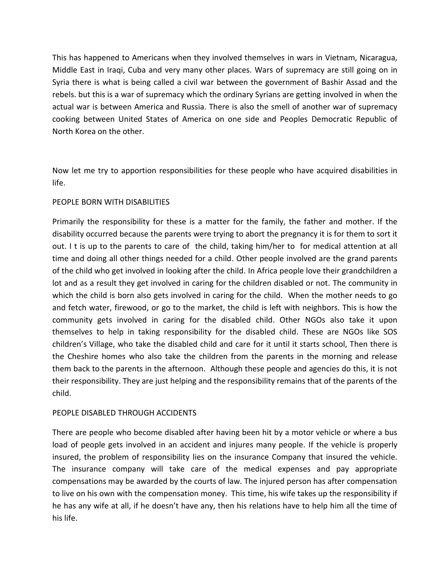This has happened to Americans when they involved themselves in wars in Vietnam, Nicaragua, Middle East in Iraqi, Cuba and very many other places. Wars of supremacy are still going on in Syria there is what is being called a civil war between the government of Bashir Assad and the rebels. but this is a war of supremacy which the ordinary Syrians are getting involved in when the actual war is between America and Russia. There is also the smell of another war of supremacy cooking between United States of America on one side and Peoples Democratic Republic of North Korea on the other.

Now let me try to apportion responsibilities for these people who have acquired disabilities in life.

## PEOPLE BORN WITH DISABILITIES

Primarily the responsibility for these is a matter for the family, the father and mother. If the disability occurred because the parents were trying to abort the pregnancy it is for them to sort it out. I t is up to the parents to care of the child, taking him/her to for medical attention at all time and doing all other things needed for a child. Other people involved are the grand parents of the child who get involved in looking after the child. In Africa people love their grandchildren a lot and as a result they get involved in caring for the children disabled or not. The community in which the child is born also gets involved in caring for the child. When the mother needs to go and fetch water, firewood, or go to the market, the child is left with neighbors. This is how the community gets involved in caring for the disabled child. Other NGOs also take it upon themselves to help in taking responsibility for the disabled child. These are NGOs like SOS children's Village, who take the disabled child and care for it until it starts school, Then there is the Cheshire homes who also take the children from the parents in the morning and release them back to the parents in the afternoon. Although these people and agencies do this, it is not their responsibility. They are just helping and the responsibility remains that of the parents of the child.

## PEOPLE DISABLED THROUGH ACCIDENTS

There are people who become disabled after having been hit by a motor vehicle or where a bus load of people gets involved in an accident and injures many people. If the vehicle is properly insured, the problem of responsibility lies on the insurance Company that insured the vehicle. The insurance company will take care of the medical expenses and pay appropriate compensations may be awarded by the courts of law. The injured person has after compensation to live on his own with the compensation money. This time, his wife takes up the responsibility if he has any wife at all, if he doesn't have any, then his relations have to help him all the time of his life.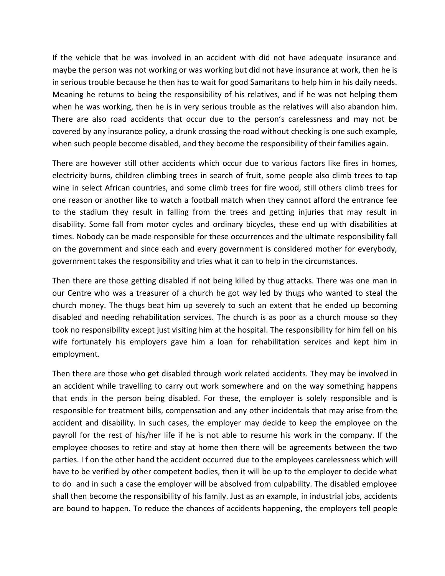If the vehicle that he was involved in an accident with did not have adequate insurance and maybe the person was not working or was working but did not have insurance at work, then he is in serious trouble because he then has to wait for good Samaritans to help him in his daily needs. Meaning he returns to being the responsibility of his relatives, and if he was not helping them when he was working, then he is in very serious trouble as the relatives will also abandon him. There are also road accidents that occur due to the person's carelessness and may not be covered by any insurance policy, a drunk crossing the road without checking is one such example, when such people become disabled, and they become the responsibility of their families again.

There are however still other accidents which occur due to various factors like fires in homes, electricity burns, children climbing trees in search of fruit, some people also climb trees to tap wine in select African countries, and some climb trees for fire wood, still others climb trees for one reason or another like to watch a football match when they cannot afford the entrance fee to the stadium they result in falling from the trees and getting injuries that may result in disability. Some fall from motor cycles and ordinary bicycles, these end up with disabilities at times. Nobody can be made responsible for these occurrences and the ultimate responsibility fall on the government and since each and every government is considered mother for everybody, government takes the responsibility and tries what it can to help in the circumstances.

Then there are those getting disabled if not being killed by thug attacks. There was one man in our Centre who was a treasurer of a church he got way led by thugs who wanted to steal the church money. The thugs beat him up severely to such an extent that he ended up becoming disabled and needing rehabilitation services. The church is as poor as a church mouse so they took no responsibility except just visiting him at the hospital. The responsibility for him fell on his wife fortunately his employers gave him a loan for rehabilitation services and kept him in employment.

Then there are those who get disabled through work related accidents. They may be involved in an accident while travelling to carry out work somewhere and on the way something happens that ends in the person being disabled. For these, the employer is solely responsible and is responsible for treatment bills, compensation and any other incidentals that may arise from the accident and disability. In such cases, the employer may decide to keep the employee on the payroll for the rest of his/her life if he is not able to resume his work in the company. If the employee chooses to retire and stay at home then there will be agreements between the two parties. I f on the other hand the accident occurred due to the employees carelessness which will have to be verified by other competent bodies, then it will be up to the employer to decide what to do and in such a case the employer will be absolved from culpability. The disabled employee shall then become the responsibility of his family. Just as an example, in industrial jobs, accidents are bound to happen. To reduce the chances of accidents happening, the employers tell people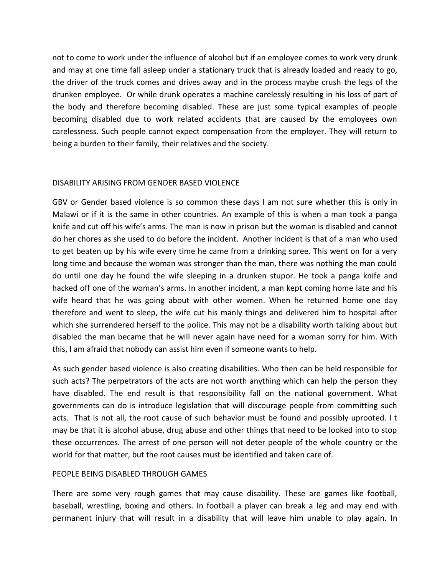not to come to work under the influence of alcohol but if an employee comes to work very drunk and may at one time fall asleep under a stationary truck that is already loaded and ready to go, the driver of the truck comes and drives away and in the process maybe crush the legs of the drunken employee. Or while drunk operates a machine carelessly resulting in his loss of part of the body and therefore becoming disabled. These are just some typical examples of people becoming disabled due to work related accidents that are caused by the employees own carelessness. Such people cannot expect compensation from the employer. They will return to being a burden to their family, their relatives and the society.

## DISABILITY ARISING FROM GENDER BASED VIOLENCE

GBV or Gender based violence is so common these days I am not sure whether this is only in Malawi or if it is the same in other countries. An example of this is when a man took a panga knife and cut off his wife's arms. The man is now in prison but the woman is disabled and cannot do her chores as she used to do before the incident. Another incident is that of a man who used to get beaten up by his wife every time he came from a drinking spree. This went on for a very long time and because the woman was stronger than the man, there was nothing the man could do until one day he found the wife sleeping in a drunken stupor. He took a panga knife and hacked off one of the woman's arms. In another incident, a man kept coming home late and his wife heard that he was going about with other women. When he returned home one day therefore and went to sleep, the wife cut his manly things and delivered him to hospital after which she surrendered herself to the police. This may not be a disability worth talking about but disabled the man became that he will never again have need for a woman sorry for him. With this, I am afraid that nobody can assist him even if someone wants to help.

As such gender based violence is also creating disabilities. Who then can be held responsible for such acts? The perpetrators of the acts are not worth anything which can help the person they have disabled. The end result is that responsibility fall on the national government. What governments can do is introduce legislation that will discourage people from committing such acts. That is not all, the root cause of such behavior must be found and possibly uprooted. I t may be that it is alcohol abuse, drug abuse and other things that need to be looked into to stop these occurrences. The arrest of one person will not deter people of the whole country or the world for that matter, but the root causes must be identified and taken care of.

## PEOPLE BEING DISABLED THROUGH GAMES

There are some very rough games that may cause disability. These are games like football, baseball, wrestling, boxing and others. In football a player can break a leg and may end with permanent injury that will result in a disability that will leave him unable to play again. In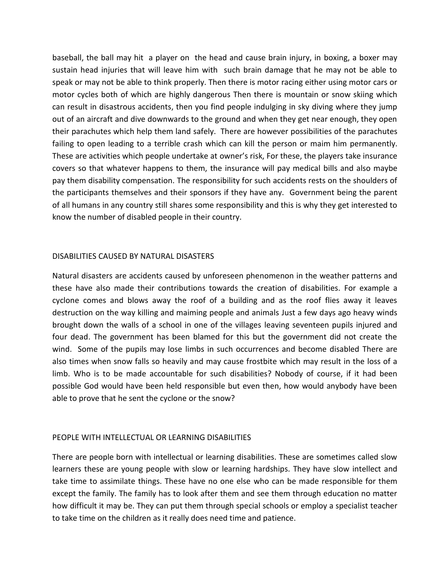baseball, the ball may hit a player on the head and cause brain injury, in boxing, a boxer may sustain head injuries that will leave him with such brain damage that he may not be able to speak or may not be able to think properly. Then there is motor racing either using motor cars or motor cycles both of which are highly dangerous Then there is mountain or snow skiing which can result in disastrous accidents, then you find people indulging in sky diving where they jump out of an aircraft and dive downwards to the ground and when they get near enough, they open their parachutes which help them land safely. There are however possibilities of the parachutes failing to open leading to a terrible crash which can kill the person or maim him permanently. These are activities which people undertake at owner's risk, For these, the players take insurance covers so that whatever happens to them, the insurance will pay medical bills and also maybe pay them disability compensation. The responsibility for such accidents rests on the shoulders of the participants themselves and their sponsors if they have any. Government being the parent of all humans in any country still shares some responsibility and this is why they get interested to know the number of disabled people in their country.

#### DISABILITIES CAUSED BY NATURAL DISASTERS

Natural disasters are accidents caused by unforeseen phenomenon in the weather patterns and these have also made their contributions towards the creation of disabilities. For example a cyclone comes and blows away the roof of a building and as the roof flies away it leaves destruction on the way killing and maiming people and animals Just a few days ago heavy winds brought down the walls of a school in one of the villages leaving seventeen pupils injured and four dead. The government has been blamed for this but the government did not create the wind. Some of the pupils may lose limbs in such occurrences and become disabled There are also times when snow falls so heavily and may cause frostbite which may result in the loss of a limb. Who is to be made accountable for such disabilities? Nobody of course, if it had been possible God would have been held responsible but even then, how would anybody have been able to prove that he sent the cyclone or the snow?

## PEOPLE WITH INTELLECTUAL OR LEARNING DISABILITIES

There are people born with intellectual or learning disabilities. These are sometimes called slow learners these are young people with slow or learning hardships. They have slow intellect and take time to assimilate things. These have no one else who can be made responsible for them except the family. The family has to look after them and see them through education no matter how difficult it may be. They can put them through special schools or employ a specialist teacher to take time on the children as it really does need time and patience.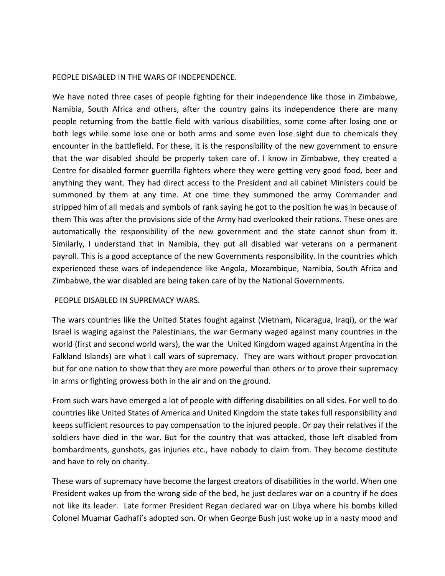#### PEOPLE DISABLED IN THE WARS OF INDEPENDENCE.

We have noted three cases of people fighting for their independence like those in Zimbabwe, Namibia, South Africa and others, after the country gains its independence there are many people returning from the battle field with various disabilities, some come after losing one or both legs while some lose one or both arms and some even lose sight due to chemicals they encounter in the battlefield. For these, it is the responsibility of the new government to ensure that the war disabled should be properly taken care of. I know in Zimbabwe, they created a Centre for disabled former guerrilla fighters where they were getting very good food, beer and anything they want. They had direct access to the President and all cabinet Ministers could be summoned by them at any time. At one time they summoned the army Commander and stripped him of all medals and symbols of rank saying he got to the position he was in because of them This was after the provisions side of the Army had overlooked their rations. These ones are automatically the responsibility of the new government and the state cannot shun from it. Similarly, I understand that in Namibia, they put all disabled war veterans on a permanent payroll. This is a good acceptance of the new Governments responsibility. In the countries which experienced these wars of independence like Angola, Mozambique, Namibia, South Africa and Zimbabwe, the war disabled are being taken care of by the National Governments.

## PEOPLE DISABLED IN SUPREMACY WARS.

The wars countries like the United States fought against (Vietnam, Nicaragua, Iraqi), or the war Israel is waging against the Palestinians, the war Germany waged against many countries in the world (first and second world wars), the war the United Kingdom waged against Argentina in the Falkland Islands) are what I call wars of supremacy. They are wars without proper provocation but for one nation to show that they are more powerful than others or to prove their supremacy in arms or fighting prowess both in the air and on the ground.

From such wars have emerged a lot of people with differing disabilities on all sides. For well to do countries like United States of America and United Kingdom the state takes full responsibility and keeps sufficient resources to pay compensation to the injured people. Or pay their relatives if the soldiers have died in the war. But for the country that was attacked, those left disabled from bombardments, gunshots, gas injuries etc., have nobody to claim from. They become destitute and have to rely on charity.

These wars of supremacy have become the largest creators of disabilities in the world. When one President wakes up from the wrong side of the bed, he just declares war on a country if he does not like its leader. Late former President Regan declared war on Libya where his bombs killed Colonel Muamar Gadhafi's adopted son. Or when George Bush just woke up in a nasty mood and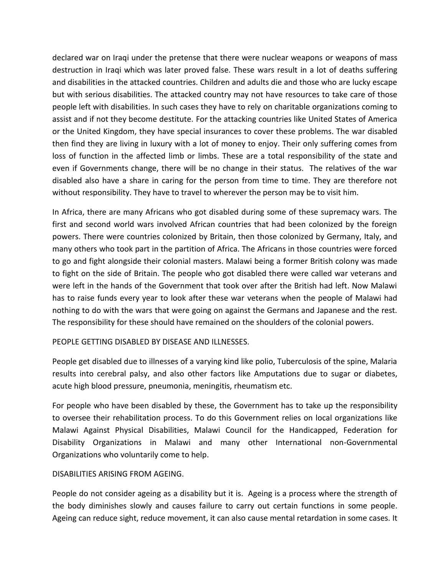declared war on Iraqi under the pretense that there were nuclear weapons or weapons of mass destruction in Iraqi which was later proved false. These wars result in a lot of deaths suffering and disabilities in the attacked countries. Children and adults die and those who are lucky escape but with serious disabilities. The attacked country may not have resources to take care of those people left with disabilities. In such cases they have to rely on charitable organizations coming to assist and if not they become destitute. For the attacking countries like United States of America or the United Kingdom, they have special insurances to cover these problems. The war disabled then find they are living in luxury with a lot of money to enjoy. Their only suffering comes from loss of function in the affected limb or limbs. These are a total responsibility of the state and even if Governments change, there will be no change in their status. The relatives of the war disabled also have a share in caring for the person from time to time. They are therefore not without responsibility. They have to travel to wherever the person may be to visit him.

In Africa, there are many Africans who got disabled during some of these supremacy wars. The first and second world wars involved African countries that had been colonized by the foreign powers. There were countries colonized by Britain, then those colonized by Germany, Italy, and many others who took part in the partition of Africa. The Africans in those countries were forced to go and fight alongside their colonial masters. Malawi being a former British colony was made to fight on the side of Britain. The people who got disabled there were called war veterans and were left in the hands of the Government that took over after the British had left. Now Malawi has to raise funds every year to look after these war veterans when the people of Malawi had nothing to do with the wars that were going on against the Germans and Japanese and the rest. The responsibility for these should have remained on the shoulders of the colonial powers.

## PEOPLE GETTING DISABLED BY DISEASE AND ILLNESSES.

People get disabled due to illnesses of a varying kind like polio, Tuberculosis of the spine, Malaria results into cerebral palsy, and also other factors like Amputations due to sugar or diabetes, acute high blood pressure, pneumonia, meningitis, rheumatism etc.

For people who have been disabled by these, the Government has to take up the responsibility to oversee their rehabilitation process. To do this Government relies on local organizations like Malawi Against Physical Disabilities, Malawi Council for the Handicapped, Federation for Disability Organizations in Malawi and many other International non-Governmental Organizations who voluntarily come to help.

## DISABILITIES ARISING FROM AGEING.

People do not consider ageing as a disability but it is. Ageing is a process where the strength of the body diminishes slowly and causes failure to carry out certain functions in some people. Ageing can reduce sight, reduce movement, it can also cause mental retardation in some cases. It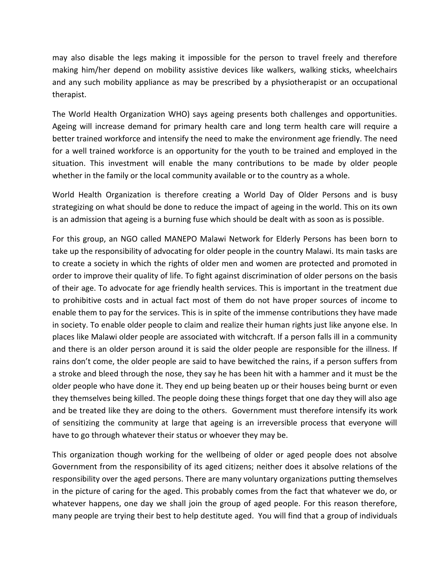may also disable the legs making it impossible for the person to travel freely and therefore making him/her depend on mobility assistive devices like walkers, walking sticks, wheelchairs and any such mobility appliance as may be prescribed by a physiotherapist or an occupational therapist.

The World Health Organization WHO) says ageing presents both challenges and opportunities. Ageing will increase demand for primary health care and long term health care will require a better trained workforce and intensify the need to make the environment age friendly. The need for a well trained workforce is an opportunity for the youth to be trained and employed in the situation. This investment will enable the many contributions to be made by older people whether in the family or the local community available or to the country as a whole.

World Health Organization is therefore creating a World Day of Older Persons and is busy strategizing on what should be done to reduce the impact of ageing in the world. This on its own is an admission that ageing is a burning fuse which should be dealt with as soon as is possible.

For this group, an NGO called MANEPO Malawi Network for Elderly Persons has been born to take up the responsibility of advocating for older people in the country Malawi. Its main tasks are to create a society in which the rights of older men and women are protected and promoted in order to improve their quality of life. To fight against discrimination of older persons on the basis of their age. To advocate for age friendly health services. This is important in the treatment due to prohibitive costs and in actual fact most of them do not have proper sources of income to enable them to pay for the services. This is in spite of the immense contributions they have made in society. To enable older people to claim and realize their human rights just like anyone else. In places like Malawi older people are associated with witchcraft. If a person falls ill in a community and there is an older person around it is said the older people are responsible for the illness. If rains don't come, the older people are said to have bewitched the rains, if a person suffers from a stroke and bleed through the nose, they say he has been hit with a hammer and it must be the older people who have done it. They end up being beaten up or their houses being burnt or even they themselves being killed. The people doing these things forget that one day they will also age and be treated like they are doing to the others. Government must therefore intensify its work of sensitizing the community at large that ageing is an irreversible process that everyone will have to go through whatever their status or whoever they may be.

This organization though working for the wellbeing of older or aged people does not absolve Government from the responsibility of its aged citizens; neither does it absolve relations of the responsibility over the aged persons. There are many voluntary organizations putting themselves in the picture of caring for the aged. This probably comes from the fact that whatever we do, or whatever happens, one day we shall join the group of aged people. For this reason therefore, many people are trying their best to help destitute aged. You will find that a group of individuals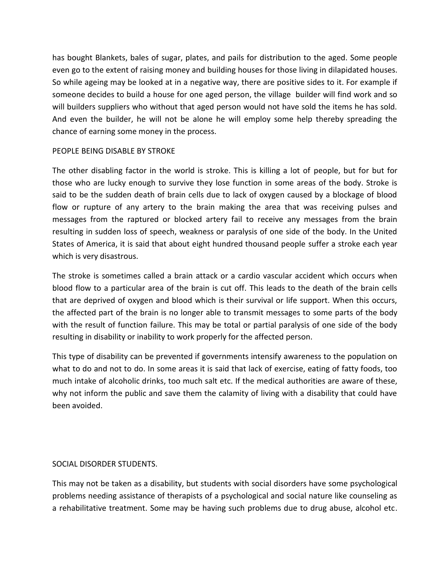has bought Blankets, bales of sugar, plates, and pails for distribution to the aged. Some people even go to the extent of raising money and building houses for those living in dilapidated houses. So while ageing may be looked at in a negative way, there are positive sides to it. For example if someone decides to build a house for one aged person, the village builder will find work and so will builders suppliers who without that aged person would not have sold the items he has sold. And even the builder, he will not be alone he will employ some help thereby spreading the chance of earning some money in the process.

#### PEOPLE BEING DISABLE BY STROKE

The other disabling factor in the world is stroke. This is killing a lot of people, but for but for those who are lucky enough to survive they lose function in some areas of the body. Stroke is said to be the sudden death of brain cells due to lack of oxygen caused by a blockage of blood flow or rupture of any artery to the brain making the area that was receiving pulses and messages from the raptured or blocked artery fail to receive any messages from the brain resulting in sudden loss of speech, weakness or paralysis of one side of the body. In the United States of America, it is said that about eight hundred thousand people suffer a stroke each year which is very disastrous.

The stroke is sometimes called a brain attack or a cardio vascular accident which occurs when blood flow to a particular area of the brain is cut off. This leads to the death of the brain cells that are deprived of oxygen and blood which is their survival or life support. When this occurs, the affected part of the brain is no longer able to transmit messages to some parts of the body with the result of function failure. This may be total or partial paralysis of one side of the body resulting in disability or inability to work properly for the affected person.

This type of disability can be prevented if governments intensify awareness to the population on what to do and not to do. In some areas it is said that lack of exercise, eating of fatty foods, too much intake of alcoholic drinks, too much salt etc. If the medical authorities are aware of these, why not inform the public and save them the calamity of living with a disability that could have been avoided.

## SOCIAL DISORDER STUDENTS.

This may not be taken as a disability, but students with social disorders have some psychological problems needing assistance of therapists of a psychological and social nature like counseling as a rehabilitative treatment. Some may be having such problems due to drug abuse, alcohol etc.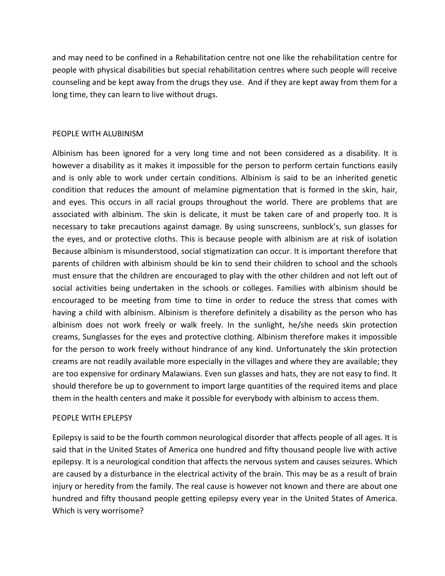and may need to be confined in a Rehabilitation centre not one like the rehabilitation centre for people with physical disabilities but special rehabilitation centres where such people will receive counseling and be kept away from the drugs they use. And if they are kept away from them for a long time, they can learn to live without drugs.

## PEOPLE WITH ALUBINISM

Albinism has been ignored for a very long time and not been considered as a disability. It is however a disability as it makes it impossible for the person to perform certain functions easily and is only able to work under certain conditions. Albinism is said to be an inherited genetic condition that reduces the amount of melamine pigmentation that is formed in the skin, hair, and eyes. This occurs in all racial groups throughout the world. There are problems that are associated with albinism. The skin is delicate, it must be taken care of and properly too. It is necessary to take precautions against damage. By using sunscreens, sunblock's, sun glasses for the eyes, and or protective cloths. This is because people with albinism are at risk of isolation Because albinism is misunderstood, social stigmatization can occur. It is important therefore that parents of children with albinism should be kin to send their children to school and the schools must ensure that the children are encouraged to play with the other children and not left out of social activities being undertaken in the schools or colleges. Families with albinism should be encouraged to be meeting from time to time in order to reduce the stress that comes with having a child with albinism. Albinism is therefore definitely a disability as the person who has albinism does not work freely or walk freely. In the sunlight, he/she needs skin protection creams, Sunglasses for the eyes and protective clothing. Albinism therefore makes it impossible for the person to work freely without hindrance of any kind. Unfortunately the skin protection creams are not readily available more especially in the villages and where they are available; they are too expensive for ordinary Malawians. Even sun glasses and hats, they are not easy to find. It should therefore be up to government to import large quantities of the required items and place them in the health centers and make it possible for everybody with albinism to access them.

## PEOPLE WITH EPLEPSY

Epilepsy is said to be the fourth common neurological disorder that affects people of all ages. It is said that in the United States of America one hundred and fifty thousand people live with active epilepsy. It is a neurological condition that affects the nervous system and causes seizures. Which are caused by a disturbance in the electrical activity of the brain. This may be as a result of brain injury or heredity from the family. The real cause is however not known and there are about one hundred and fifty thousand people getting epilepsy every year in the United States of America. Which is very worrisome?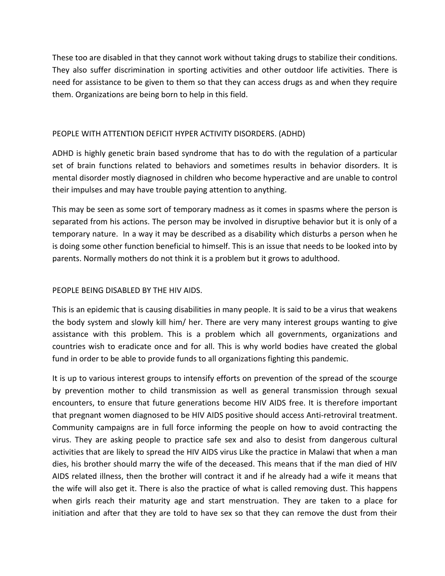These too are disabled in that they cannot work without taking drugs to stabilize their conditions. They also suffer discrimination in sporting activities and other outdoor life activities. There is need for assistance to be given to them so that they can access drugs as and when they require them. Organizations are being born to help in this field.

# PEOPLE WITH ATTENTION DEFICIT HYPER ACTIVITY DISORDERS. (ADHD)

ADHD is highly genetic brain based syndrome that has to do with the regulation of a particular set of brain functions related to behaviors and sometimes results in behavior disorders. It is mental disorder mostly diagnosed in children who become hyperactive and are unable to control their impulses and may have trouble paying attention to anything.

This may be seen as some sort of temporary madness as it comes in spasms where the person is separated from his actions. The person may be involved in disruptive behavior but it is only of a temporary nature. In a way it may be described as a disability which disturbs a person when he is doing some other function beneficial to himself. This is an issue that needs to be looked into by parents. Normally mothers do not think it is a problem but it grows to adulthood.

# PEOPLE BEING DISABLED BY THE HIV AIDS.

This is an epidemic that is causing disabilities in many people. It is said to be a virus that weakens the body system and slowly kill him/ her. There are very many interest groups wanting to give assistance with this problem. This is a problem which all governments, organizations and countries wish to eradicate once and for all. This is why world bodies have created the global fund in order to be able to provide funds to all organizations fighting this pandemic.

It is up to various interest groups to intensify efforts on prevention of the spread of the scourge by prevention mother to child transmission as well as general transmission through sexual encounters, to ensure that future generations become HIV AIDS free. It is therefore important that pregnant women diagnosed to be HIV AIDS positive should access Anti-retroviral treatment. Community campaigns are in full force informing the people on how to avoid contracting the virus. They are asking people to practice safe sex and also to desist from dangerous cultural activities that are likely to spread the HIV AIDS virus Like the practice in Malawi that when a man dies, his brother should marry the wife of the deceased. This means that if the man died of HIV AIDS related illness, then the brother will contract it and if he already had a wife it means that the wife will also get it. There is also the practice of what is called removing dust. This happens when girls reach their maturity age and start menstruation. They are taken to a place for initiation and after that they are told to have sex so that they can remove the dust from their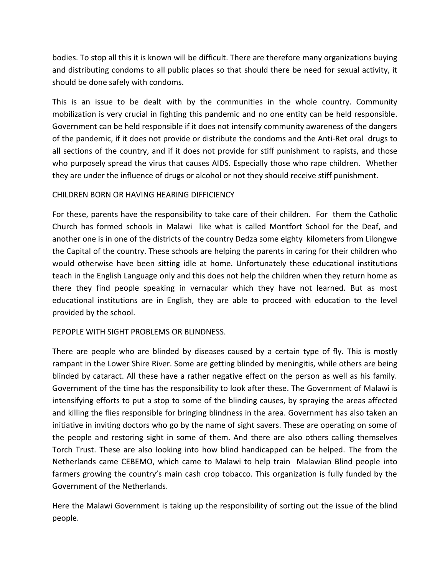bodies. To stop all this it is known will be difficult. There are therefore many organizations buying and distributing condoms to all public places so that should there be need for sexual activity, it should be done safely with condoms.

This is an issue to be dealt with by the communities in the whole country. Community mobilization is very crucial in fighting this pandemic and no one entity can be held responsible. Government can be held responsible if it does not intensify community awareness of the dangers of the pandemic, if it does not provide or distribute the condoms and the Anti-Ret oral drugs to all sections of the country, and if it does not provide for stiff punishment to rapists, and those who purposely spread the virus that causes AIDS. Especially those who rape children. Whether they are under the influence of drugs or alcohol or not they should receive stiff punishment.

# CHILDREN BORN OR HAVING HEARING DIFFICIENCY

For these, parents have the responsibility to take care of their children. For them the Catholic Church has formed schools in Malawi like what is called Montfort School for the Deaf, and another one is in one of the districts of the country Dedza some eighty kilometers from Lilongwe the Capital of the country. These schools are helping the parents in caring for their children who would otherwise have been sitting idle at home. Unfortunately these educational institutions teach in the English Language only and this does not help the children when they return home as there they find people speaking in vernacular which they have not learned. But as most educational institutions are in English, they are able to proceed with education to the level provided by the school.

## PEPOPLE WITH SIGHT PROBLEMS OR BLINDNESS.

There are people who are blinded by diseases caused by a certain type of fly. This is mostly rampant in the Lower Shire River. Some are getting blinded by meningitis, while others are being blinded by cataract. All these have a rather negative effect on the person as well as his family. Government of the time has the responsibility to look after these. The Government of Malawi is intensifying efforts to put a stop to some of the blinding causes, by spraying the areas affected and killing the flies responsible for bringing blindness in the area. Government has also taken an initiative in inviting doctors who go by the name of sight savers. These are operating on some of the people and restoring sight in some of them. And there are also others calling themselves Torch Trust. These are also looking into how blind handicapped can be helped. The from the Netherlands came CEBEMO, which came to Malawi to help train Malawian Blind people into farmers growing the country's main cash crop tobacco. This organization is fully funded by the Government of the Netherlands.

Here the Malawi Government is taking up the responsibility of sorting out the issue of the blind people.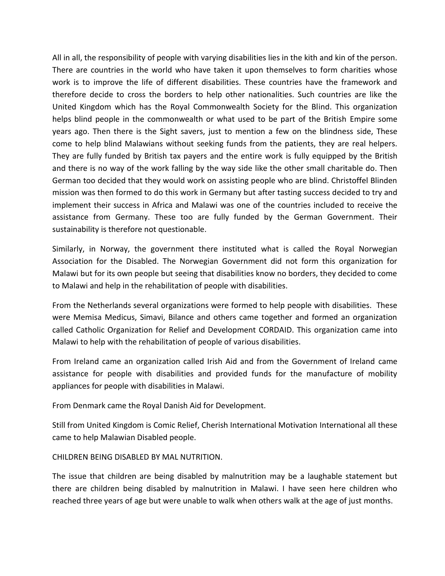All in all, the responsibility of people with varying disabilities lies in the kith and kin of the person. There are countries in the world who have taken it upon themselves to form charities whose work is to improve the life of different disabilities. These countries have the framework and therefore decide to cross the borders to help other nationalities. Such countries are like the United Kingdom which has the Royal Commonwealth Society for the Blind. This organization helps blind people in the commonwealth or what used to be part of the British Empire some years ago. Then there is the Sight savers, just to mention a few on the blindness side, These come to help blind Malawians without seeking funds from the patients, they are real helpers. They are fully funded by British tax payers and the entire work is fully equipped by the British and there is no way of the work falling by the way side like the other small charitable do. Then German too decided that they would work on assisting people who are blind. Christoffel Blinden mission was then formed to do this work in Germany but after tasting success decided to try and implement their success in Africa and Malawi was one of the countries included to receive the assistance from Germany. These too are fully funded by the German Government. Their sustainability is therefore not questionable.

Similarly, in Norway, the government there instituted what is called the Royal Norwegian Association for the Disabled. The Norwegian Government did not form this organization for Malawi but for its own people but seeing that disabilities know no borders, they decided to come to Malawi and help in the rehabilitation of people with disabilities.

From the Netherlands several organizations were formed to help people with disabilities. These were Memisa Medicus, Simavi, Bilance and others came together and formed an organization called Catholic Organization for Relief and Development CORDAID. This organization came into Malawi to help with the rehabilitation of people of various disabilities.

From Ireland came an organization called Irish Aid and from the Government of Ireland came assistance for people with disabilities and provided funds for the manufacture of mobility appliances for people with disabilities in Malawi.

From Denmark came the Royal Danish Aid for Development.

Still from United Kingdom is Comic Relief, Cherish International Motivation International all these came to help Malawian Disabled people.

CHILDREN BEING DISABLED BY MAL NUTRITION.

The issue that children are being disabled by malnutrition may be a laughable statement but there are children being disabled by malnutrition in Malawi. I have seen here children who reached three years of age but were unable to walk when others walk at the age of just months.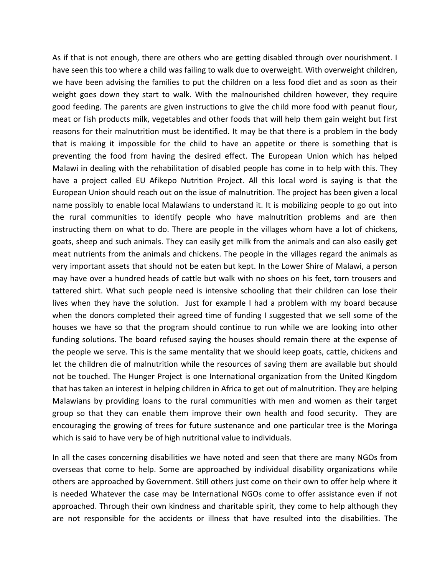As if that is not enough, there are others who are getting disabled through over nourishment. I have seen this too where a child was failing to walk due to overweight. With overweight children, we have been advising the families to put the children on a less food diet and as soon as their weight goes down they start to walk. With the malnourished children however, they require good feeding. The parents are given instructions to give the child more food with peanut flour, meat or fish products milk, vegetables and other foods that will help them gain weight but first reasons for their malnutrition must be identified. It may be that there is a problem in the body that is making it impossible for the child to have an appetite or there is something that is preventing the food from having the desired effect. The European Union which has helped Malawi in dealing with the rehabilitation of disabled people has come in to help with this. They have a project called EU Afikepo Nutrition Project. All this local word is saying is that the European Union should reach out on the issue of malnutrition. The project has been given a local name possibly to enable local Malawians to understand it. It is mobilizing people to go out into the rural communities to identify people who have malnutrition problems and are then instructing them on what to do. There are people in the villages whom have a lot of chickens, goats, sheep and such animals. They can easily get milk from the animals and can also easily get meat nutrients from the animals and chickens. The people in the villages regard the animals as very important assets that should not be eaten but kept. In the Lower Shire of Malawi, a person may have over a hundred heads of cattle but walk with no shoes on his feet, torn trousers and tattered shirt. What such people need is intensive schooling that their children can lose their lives when they have the solution. Just for example I had a problem with my board because when the donors completed their agreed time of funding I suggested that we sell some of the houses we have so that the program should continue to run while we are looking into other funding solutions. The board refused saying the houses should remain there at the expense of the people we serve. This is the same mentality that we should keep goats, cattle, chickens and let the children die of malnutrition while the resources of saving them are available but should not be touched. The Hunger Project is one International organization from the United Kingdom that has taken an interest in helping children in Africa to get out of malnutrition. They are helping Malawians by providing loans to the rural communities with men and women as their target group so that they can enable them improve their own health and food security. They are encouraging the growing of trees for future sustenance and one particular tree is the Moringa which is said to have very be of high nutritional value to individuals.

In all the cases concerning disabilities we have noted and seen that there are many NGOs from overseas that come to help. Some are approached by individual disability organizations while others are approached by Government. Still others just come on their own to offer help where it is needed Whatever the case may be International NGOs come to offer assistance even if not approached. Through their own kindness and charitable spirit, they come to help although they are not responsible for the accidents or illness that have resulted into the disabilities. The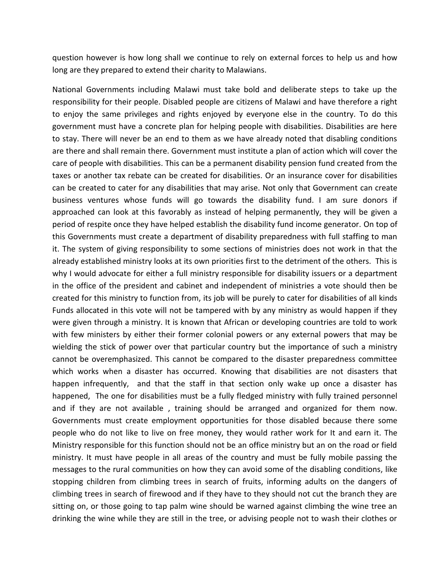question however is how long shall we continue to rely on external forces to help us and how long are they prepared to extend their charity to Malawians.

National Governments including Malawi must take bold and deliberate steps to take up the responsibility for their people. Disabled people are citizens of Malawi and have therefore a right to enjoy the same privileges and rights enjoyed by everyone else in the country. To do this government must have a concrete plan for helping people with disabilities. Disabilities are here to stay. There will never be an end to them as we have already noted that disabling conditions are there and shall remain there. Government must institute a plan of action which will cover the care of people with disabilities. This can be a permanent disability pension fund created from the taxes or another tax rebate can be created for disabilities. Or an insurance cover for disabilities can be created to cater for any disabilities that may arise. Not only that Government can create business ventures whose funds will go towards the disability fund. I am sure donors if approached can look at this favorably as instead of helping permanently, they will be given a period of respite once they have helped establish the disability fund income generator. On top of this Governments must create a department of disability preparedness with full staffing to man it. The system of giving responsibility to some sections of ministries does not work in that the already established ministry looks at its own priorities first to the detriment of the others. This is why I would advocate for either a full ministry responsible for disability issuers or a department in the office of the president and cabinet and independent of ministries a vote should then be created for this ministry to function from, its job will be purely to cater for disabilities of all kinds Funds allocated in this vote will not be tampered with by any ministry as would happen if they were given through a ministry. It is known that African or developing countries are told to work with few ministers by either their former colonial powers or any external powers that may be wielding the stick of power over that particular country but the importance of such a ministry cannot be overemphasized. This cannot be compared to the disaster preparedness committee which works when a disaster has occurred. Knowing that disabilities are not disasters that happen infrequently, and that the staff in that section only wake up once a disaster has happened, The one for disabilities must be a fully fledged ministry with fully trained personnel and if they are not available , training should be arranged and organized for them now. Governments must create employment opportunities for those disabled because there some people who do not like to live on free money, they would rather work for It and earn it. The Ministry responsible for this function should not be an office ministry but an on the road or field ministry. It must have people in all areas of the country and must be fully mobile passing the messages to the rural communities on how they can avoid some of the disabling conditions, like stopping children from climbing trees in search of fruits, informing adults on the dangers of climbing trees in search of firewood and if they have to they should not cut the branch they are sitting on, or those going to tap palm wine should be warned against climbing the wine tree an drinking the wine while they are still in the tree, or advising people not to wash their clothes or